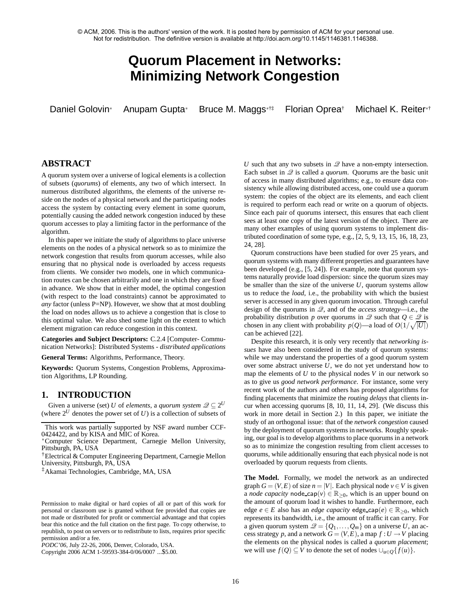© ACM, 2006. This is the authors' version of the work. It is posted here by permission of ACM for your personal use. Not for redistribution. The definitive version is available at http://doi.acm.org/10.1145/1146381.1146388.

# **Quorum Placement in Networks: Minimizing Network Congestion**

Daniel Golovin<sup>∗</sup> Anupam Gupta<sup>∗</sup> Bruce M. Maggs∗†‡ Florian Oprea† Michael K. Reiter∗†

# **ABSTRACT**

A quorum system over a universe of logical elements is a collection of subsets (*quorums*) of elements, any two of which intersect. In numerous distributed algorithms, the elements of the universe reside on the nodes of a physical network and the participating nodes access the system by contacting every element in some quorum, potentially causing the added network congestion induced by these quorum accesses to play a limiting factor in the performance of the algorithm.

In this paper we initiate the study of algorithms to place universe elements on the nodes of a physical network so as to minimize the network congestion that results from quorum accesses, while also ensuring that no physical node is overloaded by access requests from clients. We consider two models, one in which communication routes can be chosen arbitrarily and one in which they are fixed in advance. We show that in either model, the optimal congestion (with respect to the load constraints) cannot be approximated to *any* factor (unless P=NP). However, we show that at most doubling the load on nodes allows us to achieve a congestion that is close to this optimal value. We also shed some light on the extent to which element migration can reduce congestion in this context.

**Categories and Subject Descriptors:** C.2.4 [Computer- Communication Networks]: Distributed Systems - *distributed applications*

**General Terms:** Algorithms, Performance, Theory.

**Keywords:** Quorum Systems, Congestion Problems, Approximation Algorithms, LP Rounding.

# **1. INTRODUCTION**

Given a universe (set) *U* of *elements*, a *quorum system*  $\mathscr{Q} \subseteq 2^U$ (where  $2^U$  denotes the power set of  $U$ ) is a collection of subsets of

†Electrical & Computer Engineering Department, Carnegie Mellon University, Pittsburgh, PA, USA

‡Akamai Technologies, Cambridge, MA, USA

Permission to make digital or hard copies of all or part of this work for personal or classroom use is granted without fee provided that copies are not made or distributed for profit or commercial advantage and that copies bear this notice and the full citation on the first page. To copy otherwise, to republish, to post on servers or to redistribute to lists, requires prior specific permission and/or a fee.

Copyright 2006 ACM 1-59593-384-0/06/0007 ...\$5.00.

*U* such that any two subsets in  $\mathcal{Q}$  have a non-empty intersection. Each subset in  $\mathcal{Q}$  is called a *quorum*. Quorums are the basic unit of access in many distributed algorithms; e.g., to ensure data consistency while allowing distributed access, one could use a quorum system: the copies of the object are its elements, and each client is required to perform each read or write on a quorum of objects. Since each pair of quorums intersect, this ensures that each client sees at least one copy of the latest version of the object. There are many other examples of using quorum systems to implement distributed coordination of some type, e.g., [2, 5, 9, 13, 15, 16, 18, 23, 24, 28].

Quorum constructions have been studied for over 25 years, and quorum systems with many different properties and guarantees have been developed (e.g., [5, 24]). For example, note that quorum systems naturally provide load dispersion: since the quorum sizes may be smaller than the size of the universe *U*, quorum systems allow us to reduce the *load*, i.e., the probability with which the busiest server is accessed in any given quorum invocation. Through careful design of the quorums in Q, and of the *access strategy*—i.e., the probability distribution *p* over quorums in  $\mathscr Q$  such that  $Q \in \mathscr Q$  is chosen in any client with probability  $p(Q)$ —a load of  $O(1/\sqrt{|U|})$ can be achieved [22].

Despite this research, it is only very recently that *networking issues* have also been considered in the study of quorum systems: while we may understand the properties of a good quorum system over some abstract universe *U*, we do not yet understand how to map the elements of *U* to the physical nodes *V* in our network so as to give us *good network performance*. For instance, some very recent work of the authors and others has proposed algorithms for finding placements that minimize the *routing delays* that clients incur when accessing quorums [8, 10, 11, 14, 29]. (We discuss this work in more detail in Section 2.) In this paper, we initiate the study of an orthogonal issue: that of the *network congestion* caused by the deployment of quorum systems in networks. Roughly speaking, our goal is to develop algorithms to place quorums in a network so as to minimize the congestion resulting from client accesses to quorums, while additionally ensuring that each physical node is not overloaded by quorum requests from clients.

**The Model.** Formally, we model the network as an undirected graph  $G = (V, E)$  of size  $n = |V|$ . Each physical node  $v \in V$  is given a *node capacity* node cap( $v$ )  $\in \mathbb{R}_{\geq 0}$ , which is an upper bound on the amount of quorum load it wishes to handle. Furthermore, each edge  $e \in E$  also has an *edge capacity* edge cap( $e \in \mathbb{R}_{\geq 0}$ , which represents its bandwidth, i.e., the amount of traffic it can carry. For a given quorum system  $\mathcal{Q} = \{Q_1, \ldots, Q_m\}$  on a universe U, an access strategy *p*, and a network  $G = (V, E)$ , a map  $f: U \to V$  placing the elements on the physical nodes is called a *quorum placement*; we will use *f*(*Q*) ⊆ *V* to denote the set of nodes ∪<sub>*u*∈*Q*</sub>{*f*(*u*)}.

This work was partially supported by NSF award number CCF-0424422, and by KISA and MIC of Korea.

<sup>∗</sup>Computer Science Department, Carnegie Mellon University, Pittsburgh, PA, USA

*PODC'06,* July 22-26, 2006, Denver, Colorado, USA.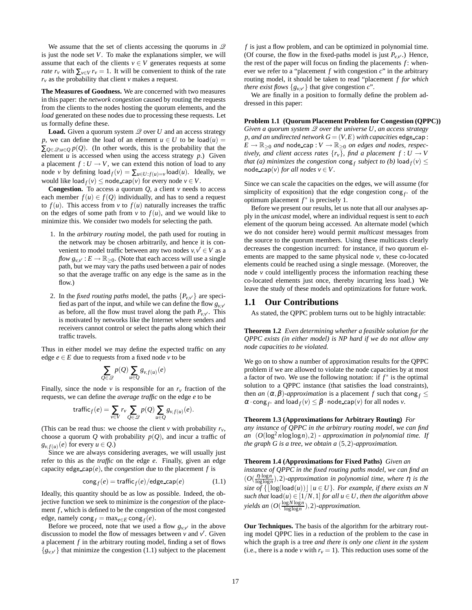We assume that the set of clients accessing the quorums in  $\mathscr Q$ is just the node set *V*. To make the explanations simpler, we will assume that each of the clients  $v \in V$  generates requests at some *rate r<sub>v</sub>* with  $\sum_{v \in V} r_v = 1$ . It will be convenient to think of the rate  $r_v$  as the probability that client  $v$  makes a request.

**The Measures of Goodness.** We are concerned with two measures in this paper: the *network congestion* caused by routing the requests from the clients to the nodes hosting the quorum elements, and the *load* generated on these nodes due to processing these requests. Let us formally define these.

**Load.** Given a quorum system  $Q$  over  $U$  and an access strategy *p*, we can define the load of an element  $u \in U$  to be load(*u*) =  $\sum_{Q \in \mathscr{Q}: u \in Q} p(Q)$ . (In other words, this is the probability that the element  $u$  is accessed when using the access strategy  $p$ .) Given a placement  $f: U \to V$ , we can extend this notion of load to any node *v* by defining  $\text{load}_f(v) = \sum_{u \in U : f(u) = v} \text{load}(u)$ . Ideally, we would like  $\text{load}_f(v) \leq \text{node\_cap}(v)$  for every node  $v \in V$ .

**Congestion.** To access a quorum  $Q$ , a client  $\nu$  needs to access each member  $f(u) \in f(Q)$  individually, and has to send a request to  $f(u)$ . This access from *v* to  $f(u)$  naturally increases the traffic on the edges of some path from  $v$  to  $f(u)$ , and we would like to minimize this. We consider two models for selecting the path.

- 1. In the *arbitrary routing* model, the path used for routing in the network may be chosen arbitrarily, and hence it is convenient to model traffic between any two nodes  $v, v' \in V$  as a *flow*  $g_{v,v'}$  *:*  $E \to \mathbb{R}_{\geq 0}$ *.* (Note that each access will use a single path, but we may vary the paths used between a pair of nodes so that the average traffic on any edge is the same as in the flow.)
- 2. In the *fixed routing paths* model, the paths  $\{P_{v,v'}\}$  are specified as part of the input, and while we can define the flow  $g_{v,v}$ as before, all the flow must travel along the path  $P_{v,v'}$ . This is motivated by networks like the Internet where senders and receivers cannot control or select the paths along which their traffic travels.

Thus in either model we may define the expected traffic on any edge  $e \in E$  due to requests from a fixed node  $\nu$  to be

$$
\sum_{Q\in\mathscr{Q}}p(Q)\sum_{u\in Q}g_{v,f(u)}(e)
$$

Finally, since the node  $\nu$  is responsible for an  $r_\nu$  fraction of the requests, we can define the *average traffic* on the edge *e* to be

$$
\operatorname{traffic}_f(e) = \sum_{v \in V} r_v \sum_{Q \in \mathscr{Q}} p(Q) \sum_{u \in Q} g_{v,f(u)}(e).
$$

(This can be read thus: we choose the client  $\nu$  with probability  $r_{\nu}$ , choose a quorum *Q* with probability  $p(Q)$ , and incur a traffic of  $g_{v, f(u)}(e)$  for every  $u \in Q$ .)

Since we are always considering averages, we will usually just refer to this as the *traffic* on the edge *e*. Finally, given an edge capacity edge cap $(e)$ , the *congestion* due to the placement  $f$  is

$$
\text{cong}_{f}(e) = \text{traffic}_{f}(e) / \text{edge\_cap}(e)
$$
 (1.1)

Ideally, this quantity should be as low as possible. Indeed, the objective function we seek to minimize is the *congestion* of the placement *f*, which is defined to be the congestion of the most congested edge, namely  $\text{cong}_f = \max_{e \in E} \text{cong}_f(e)$ .

Before we proceed, note that we used a flow  $g_{v,v'}$  in the above discussion to model the flow of messages between  $\nu$  and  $\nu'$ . Given a placement *f* in the arbitrary routing model, finding a set of flows  ${g_{v,v'} }$  that minimize the congestion (1.1) subject to the placement

*f* is just a flow problem, and can be optimized in polynomial time. (Of course, the flow in the fixed-paths model is just  $P_{v,v'}$ .) Hence, the rest of the paper will focus on finding the placements *f* : whenever we refer to a "placement *f* with congestion *c*" in the arbitrary routing model, it should be taken to read "placement *f for which there exist flows*  $\{g_{v,v'}\}$  that give congestion *c*".

We are finally in a position to formally define the problem addressed in this paper:

#### **Problem 1.1 (Quorum Placement Problem for Congestion (QPPC))**

*Given a quorum system 2 over the universe U, an access strategy p*, and an undirected network  $G = (V, E)$  with capacities edge cap:  $E \to \mathbb{R}_{\geq 0}$  *and* node cap :  $V \to \mathbb{R}_{\geq 0}$  *on edges and nodes, respectively, and client access rates*  $\{r_v\}$ *, find a placement*  $f: U \to V$ *that (a) minimizes the congestion*  $\text{cong}_f$  *subject to (b)*  $\text{load}_f(v) \leq$ node cap( $v$ ) *for all nodes*  $v \in V$ .

Since we can scale the capacities on the edges, we will assume (for simplicity of exposition) that the edge congestion cong<sub>f<sup>∗</sub></sup> of the</sub> optimum placement  $f^*$  is precisely 1.

Before we present our results, let us note that all our analyses apply in the *unicast* model, where an individual request is sent to *each* element of the quorum being accessed. An alternate model (which we do not consider here) would permit *multicast* messages from the source to the quorum members. Using these multicasts clearly decreases the congestion incurred: for instance, if two quorum elements are mapped to the same physical node  $\nu$ , these co-located elements could be reached using a single message. (Moreover, the node  $\nu$  could intelligently process the information reaching these co-located elements just once, thereby incurring less load.) We leave the study of these models and optimizations for future work.

#### **1.1 Our Contributions**

As stated, the QPPC problem turns out to be highly intractable:

**Theorem 1.2** *Even determining whether a feasible solution for the QPPC exists (in either model) is NP hard if we do not allow any node capacities to be violated.*

We go on to show a number of approximation results for the QPPC problem if we are allowed to violate the node capacities by at most a factor of two. We use the following notation: if  $f^*$  is the optimal solution to a QPPC instance (that satisfies the load constraints), then *an*  $(\alpha, \beta)$ *-approximation* is a placement *f* such that cong  $f \leq$  $\alpha \cdot \text{cong}_{f^*}$  and load  $f(v) \leq \beta \cdot \text{node\_cap}(v)$  for all nodes  $v$ .

#### **Theorem 1.3 (Approximations for Arbitrary Routing)** *For*

*any instance of QPPC in the arbitrary routing model, we can find an* (*O*(log<sup>2</sup> *n*loglog*n*),2) *- approximation in polynomial time. If the graph G is a tree, we obtain a* (5,2)*-approximation.*

#### **Theorem 1.4 (Approximations for Fixed Paths)** *Given an*

*instance of QPPC in the fixed routing paths model, we can find an*  $(O(\frac{\eta \cdot \log n}{\log \log n}), 2)$ *-approximation in polynomial time, where*  $\eta$  *is the size of*  $\{[\log(\text{load}(u))] | u \in U\}$ *. For example, if there exists an N such that*  $\text{load}(u) \in [1/N, 1]$  *for all*  $u \in U$ *, then the algorithm above*  $yields$  an  $(O(\frac{\log N \log n}{\log \log n}), 2)$ *-approximation.* 

**Our Techniques.** The basis of the algorithm for the arbitrary routing model QPPC lies in a reduction of the problem to the case in which the graph is a tree *and there is only one client in the system* (i.e., there is a node *v* with  $r_v = 1$ ). This reduction uses some of the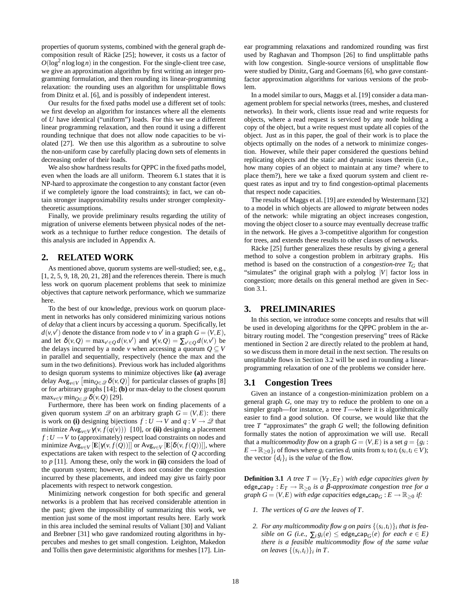properties of quorum systems, combined with the general graph decomposition result of Räcke [25]; however, it costs us a factor of  $O(\log^2 n \log \log n)$  in the congestion. For the single-client tree case, we give an approximation algorithm by first writing an integer programming formulation, and then rounding its linear-programming relaxation: the rounding uses an algorithm for unsplittable flows from Dinitz et al. [6], and is possibly of independent interest.

Our results for the fixed paths model use a different set of tools: we first develop an algorithm for instances where all the elements of *U* have identical ("uniform") loads. For this we use a different linear programming relaxation, and then round it using a different rounding technique that does not allow node capacities to be violated [27]. We then use this algorithm as a subroutine to solve the non-uniform case by carefully placing down sets of elements in decreasing order of their loads.

We also show hardness results for QPPC in the fixed paths model, even when the loads are all uniform. Theorem 6.1 states that it is NP-hard to approximate the congestion to any constant factor (even if we completely ignore the load constraints); in fact, we can obtain stronger inapproximability results under stronger complexitytheoretic assumptions.

Finally, we provide preliminary results regarding the utility of migration of universe elements between physical nodes of the network as a technique to further reduce congestion. The details of this analysis are included in Appendix A.

#### **2. RELATED WORK**

As mentioned above, quorum systems are well-studied; see, e.g., [1, 2, 5, 9, 18, 20, 21, 28] and the references therein. There is much less work on quorum placement problems that seek to minimize objectives that capture network performance, which we summarize here.

To the best of our knowledge, previous work on quorum placement in networks has only considered minimizing various notions of *delay* that a client incurs by accessing a quorum. Specifically, let  $d(v, v')$  denote the distance from node *v* to *v*<sup> $\prime$ </sup> in a graph  $G = (V, E)$ , and let  $\delta(v, Q) = \max_{v' \in Q} d(v, v')$  and  $\gamma(v, Q) = \sum_{v' \in Q} d(v, v')$  be the delays incurred by a node *v* when accessing a quorum  $Q \subseteq V$ in parallel and sequentially, respectively (hence the max and the sum in the two definitions). Previous work has included algorithms to design quorum systems to minimize objectives like **(a)** average delay Avg<sub>*v*∈*V*</sub>  $\left[\min_{Q \in \mathscr{Q}} \delta(v, Q)\right]$  for particular classes of graphs [8] or for arbitrary graphs [14]; **(b)** or max-delay to the closest quorum  $\max_{v \in V} \min_{Q \in \mathscr{Q}} \delta(v, Q)$  [29].

Furthermore, there has been work on finding placements of a given quorum system  $\mathscr Q$  on an arbitrary graph  $G = (V, E)$ : there is work on **(i)** designing bijections  $f: U \to V$  and  $q: V \to \mathcal{Q}$  that minimize  $\text{Avg}_{v \in V} \gamma(v, f(q(v)))$  [10], or (ii) designing a placement  $f: U \to V$  to (approximately) respect load constraints on nodes and minimize  $\text{Avg}_{v \in V}$   $[\mathbf{E}[\gamma(v, f(Q))] ]$  or  $\text{Avg}_{v \in V}$   $[\mathbf{E}[\delta(v, f(Q))]]$ , where expectations are taken with respect to the selection of *Q* according to *p* [11]. Among these, only the work in **(ii)** considers the load of the quorum system; however, it does not consider the congestion incurred by these placements, and indeed may give us fairly poor placements with respect to network congestion.

Minimizing network congestion for both specific and general networks is a problem that has received considerable attention in the past; given the impossibility of summarizing this work, we mention just some of the most important results here. Early work in this area included the seminal results of Valiant [30] and Valiant and Brebner [31] who gave randomized routing algorithms in hypercubes and meshes to get small congestion. Leighton, Makedon and Tollis then gave deterministic algorithms for meshes [17]. Linear programming relaxations and randomized rounding was first used by Raghavan and Thompson [26] to find unsplittable paths with low congestion. Single-source versions of unsplittable flow were studied by Dinitz, Garg and Goemans [6], who gave constantfactor approximation algorithms for various versions of the problem.

In a model similar to ours, Maggs et al. [19] consider a data management problem for special networks (trees, meshes, and clustered networks). In their work, clients issue read and write requests for objects, where a read request is serviced by any node holding a copy of the object, but a write request must update all copies of the object. Just as in this paper, the goal of their work is to place the objects optimally on the nodes of a network to minimize congestion. However, while their paper considered the questions behind replicating objects and the static and dynamic issues therein (i.e., how many copies of an object to maintain at any time? where to place them?), here we take a fixed quorum system and client request rates as input and try to find congestion-optimal placements that respect node capacities.

The results of Maggs et al. [19] are extended by Westermann [32] to a model in which objects are allowed to *migrate* between nodes of the network: while migrating an object increases congestion, moving the object closer to a source may eventually decrease traffic in the network. He gives a 3-competitive algorithm for congestion for trees, and extends these results to other classes of networks.

Räcke [25] further generalizes these results by giving a general method to solve a congestion problem in arbitrary graphs. His method is based on the construction of a *congestion-tree T<sup>G</sup>* that "simulates" the original graph with a polylog |*V*| factor loss in congestion; more details on this general method are given in Section 3.1.

# **3. PRELIMINARIES**

In this section, we introduce some concepts and results that will be used in developing algorithms for the QPPC problem in the arbitrary routing model. The "congestion preserving" trees of Räcke mentioned in Section 2 are directly related to the problem at hand, so we discuss them in more detail in the next section. The results on unsplittable flows in Section 3.2 will be used in rounding a linearprogramming relaxation of one of the problems we consider here.

#### **3.1 Congestion Trees**

Given an instance of a congestion-minimization problem on a general graph *G*, one may try to reduce the problem to one on a simpler graph—for instance, a tree *T*—where it is algorithmically easier to find a good solution. Of course, we would like that the tree *T* "approximates" the graph *G* well; the following definition formally states the notion of approximation we will use. Recall that a *multicommodity flow* on a graph  $G = (V, E)$  is a set  $g = \{g_i : S_i\}$  $E \rightarrow \mathbb{R}_{\geq 0}$ *}i* of flows where *g*<sub>*i*</sub> carries *d*<sub>*i*</sub> units from *s*<sub>*i*</sub> to *t*<sub>*i*</sub> (*s*<sub>*i*</sub>, *t*<sub>*i*</sub> ∈ *V*); the vector  $\{d_i\}_i$  is the *value* of the flow.

**Definition 3.1** *A tree*  $T = (V_T, E_T)$  *with edge capacities given by*  $\text{edge } \text{cap}_T : E_T \to \mathbb{R}_{\geq 0}$  *is a β-approximate congestion tree for a graph*  $G = (V, E)$  *with edge capacities* edge\_cap<sub>*G*</sub> :  $E \rightarrow \mathbb{R}_{\geq 0}$  *if:* 

- *1. The vertices of G are the leaves of T .*
- 2. For any multicommodity flow g on pairs  $\{(s_i, t_i)\}_i$  that is fea*sible on G (i.e.,*  $\sum_i g_i(e) \leq$  edge\_cap<sub>*G*</sub>(*e*) *for each e*  $\in E$ ) *there is a feasible multicommodity flow of the same value on leaves*  $\{(s_i,t_i)\}_i$  *in T*.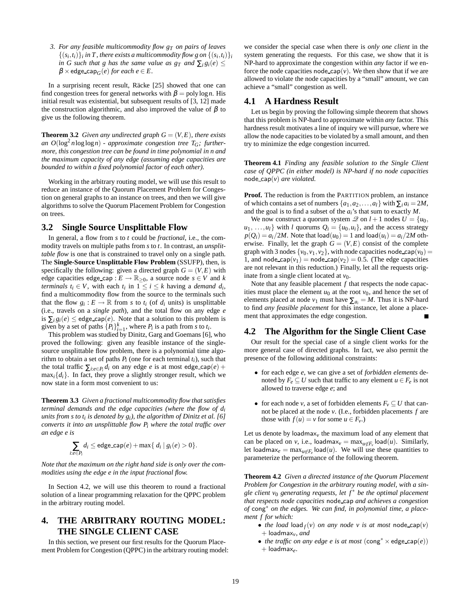*3. For any feasible multicommodity flow gT on pairs of leaves*  $\{(s_i, t_i)\}_i$  in T, there exists a multicommodity flow g on  $\{(s_i, t_i)\}_i$ *in G such that g has the same value as*  $g_T$  *<i>and*  $\sum_i g_i(e) \leq$  $\beta \times$  edge\_cap<sub>*G*</sub>(*e*) *for each e*  $\in$  *E*.

In a surprising recent result, Räcke [25] showed that one can find congestion trees for general networks with  $\beta = \text{poly}\log n$ . His initial result was existential, but subsequent results of [3, 12] made the construction algorithmic, and also improved the value of  $\beta$  to give us the following theorem.

**Theorem 3.2** *Given any undirected graph*  $G = (V, E)$ *, there exists* an  $O(\log^2 n \log \log n)$  *- approximate congestion tree*  $T_G$ *; furthermore, this congestion tree can be found in time polynomial in n and the maximum capacity of any edge (assuming edge capacities are bounded to within a fixed polynomial factor of each other).*

Working in the arbitrary routing model, we will use this result to reduce an instance of the Quorum Placement Problem for Congestion on general graphs to an instance on trees, and then we will give algorithms to solve the Quorum Placement Problem for Congestion on trees.

# **3.2 Single Source Unsplittable Flow**

In general, a flow from *s* to *t* could be *fractional*, i.e., the commodity travels on multiple paths from *s* to *t*. In contrast, an *unsplittable flow* is one that is constrained to travel only on a single path. The **Single-Source Unsplittable Flow Problem** (SSUFP), then, is specifically the following: given a directed graph  $G = (V, E)$  with edge capacities edge\_cap :  $E \to \mathbb{R}_{\geq 0}$ , a source node  $s \in V$  and *k terminals*  $t_i \in V$ , with each  $t_i$  in  $1 \leq i \leq k$  having a *demand*  $d_i$ , find a multicommodity flow from the source to the terminals such that the flow  $g_i: E \to \mathbb{R}$  from *s* to  $t_i$  (of  $d_i$  units) is unsplittable (i.e., travels on a *single path*), and the total flow on any edge *e* is  $\sum_i g_i(e) \leq$  edge cap(*e*). Note that a solution to this problem is given by a set of paths  $\{P_i\}_{i=1}^k$ , where  $P_i$  is a path from *s* to  $t_i$ .

This problem was studied by Dinitz, Garg and Goemans [6], who proved the following: given any feasible instance of the singlesource unsplittable flow problem, there is a polynomial time algorithm to obtain a set of paths  $P_i$  (one for each terminal  $t_i$ ), such that the total traffic  $\sum_{i:e \in P_i} d_i$  on any edge *e* is at most edge\_cap(*e*) +  $\max_i \{d_i\}$ . In fact, they prove a slightly stronger result, which we now state in a form most convenient to us:

**Theorem 3.3** *Given a fractional multicommodity flow that satisfies terminal demands and the edge capacities (where the flow of di units from s to ti is denoted by gi), the algorithm of Dinitz et al. [6] converts it into an unsplittable flow Pi where the total traffic over an edge e is*

$$
\sum_{i:e\in P_i} d_i \leq \text{edge\_cap}(e) + \max\{ d_i \mid g_i(e) > 0 \}.
$$

*Note that the maximum on the right hand side is only over the commodities using the edge e in the input fractional flow.*

In Section 4.2, we will use this theorem to round a fractional solution of a linear programming relaxation for the QPPC problem in the arbitrary routing model.

# **4. THE ARBITRARY ROUTING MODEL: THE SINGLE CLIENT CASE**

In this section, we present our first results for the Quorum Placement Problem for Congestion (QPPC) in the arbitrary routing model: we consider the special case when there is *only one client* in the system generating the requests. For this case, we show that it is NP-hard to approximate the congestion within *any* factor if we enforce the node capacities node cap( $v$ ). We then show that if we are allowed to violate the node capacities by a "small" amount, we can achieve a "small" congestion as well.

#### **4.1 A Hardness Result**

Let us begin by proving the following simple theorem that shows that this problem is NP-hard to approximate within *any* factor. This hardness result motivates a line of inquiry we will pursue, where we allow the node capacities to be violated by a small amount, and then try to minimize the edge congestion incurred.

**Theorem 4.1** *Finding* any *feasible solution to the Single Client case of QPPC (in either model) is NP-hard if no node capacities* node cap(*v*) *are violated.*

**Proof.** The reduction is from the PARTITION problem, an instance of which contains a set of numbers  $\{a_1, a_2, \ldots, a_l\}$  with  $\sum_i a_i = 2M$ , and the goal is to find a subset of the *ai*'s that sum to exactly *M*.

We now construct a quorum system  $\mathscr Q$  on  $l + 1$  nodes  $U = \{u_0,$  $u_1, \ldots, u_l$  with *l* quorums  $Q_i = \{u_0, u_i\}$ , and the access strategy  $p(Q_i) = a_i/2M$ . Note that  $\text{load}(u_0) = 1$  and  $\text{load}(u_i) = a_i/2M$  otherwise. Finally, let the graph  $G = (V, E)$  consist of the complete graph with 3 nodes  $\{v_0, v_1, v_2\}$ , with node capacities node cap( $v_0$ ) = 1, and node cap( $v_1$ ) = node cap( $v_2$ ) = 0.5. (The edge capacities are not relevant in this reduction.) Finally, let all the requests originate from a single client located at  $v_0$ .

Note that any feasible placement *f* that respects the node capacities must place the element  $u_0$  at the root  $v_0$ , and hence the set of elements placed at node  $v_1$  must have  $\sum_{a_i} = M$ . Thus it is NP-hard to find *any feasible placement* for this instance, let alone a placement that approximates the edge congestion.

#### **4.2 The Algorithm for the Single Client Case**

Our result for the special case of a single client works for the more general case of directed graphs. In fact, we also permit the presence of the following additional constraints:

- for each edge *e*, we can give a set of *forbidden elements* denoted by  $F_e \subseteq U$  such that traffic to any element  $u \in F_e$  is not allowed to traverse edge *e*; and
- for each node *v*, a set of forbidden elements  $F_v \subseteq U$  that cannot be placed at the node *v*. (I.e., forbidden placements *f* are those with  $f(u) = v$  for some  $u \in F_v$ .)

Let us denote by  $loadmax<sub>v</sub>$  the maximum load of any element that can be placed on *v*, i.e., loadmax<sub>*v*</sub> = max<sub>*u*∉ $F_v$ </sub> load(*u*). Similarly, let loadmax<sub>e</sub> =  $\max_{u \notin F_e} \text{load}(u)$ . We will use these quantities to parameterize the performance of the following theorem.

**Theorem 4.2** *Given a directed instance of the Quorum Placement Problem for Congestion in the arbitrary routing model, with a single client v*<sub>0</sub> *generating requests, let*  $f$ <sup>∗</sup> *be the optimal placement that respects node capacities* node cap *and achieves a congestion of* cong∗ *on the edges. We can find, in polynomial time, a placement f for which:*

- *the load* load  $f(v)$  *on any node v is at most* node\_cap(*v*) + loadmax*v, and*
- *the traffic on any edge e is at most*  $(\text{cong}^* \times \text{edge\_cap}(e))$ + loadmax*e.*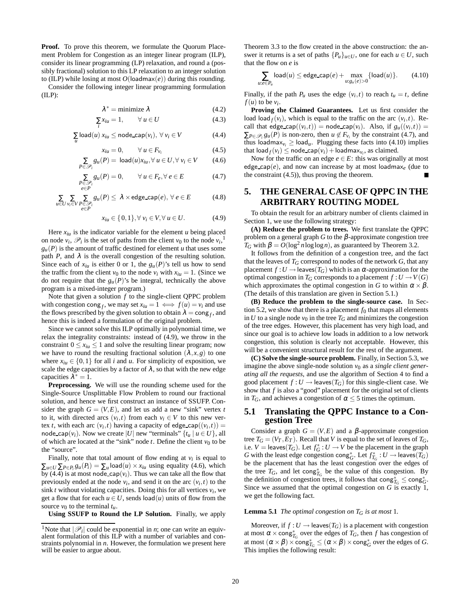**Proof.** To prove this theorem, we formulate the Quorum Placement Problem for Congestion as an integer linear program (ILP), consider its linear programming (LP) relaxation, and round a (possibly fractional) solution to this LP relaxation to an integer solution to (ILP) while losing at most  $O(\text{loadmax}(e))$  during this rounding.

Consider the following integer linear programming formulation  $(ILP)$ :

$$
\lambda^* = \text{minimize } \lambda \tag{4.2}
$$

$$
\sum_{i} x_{iu} = 1, \qquad \forall \ u \in U \tag{4.3}
$$

$$
\sum_{u} \text{load}(u) \ x_{iu} \leq \text{node\_cap}(v_i), \ \forall \ v_i \in V \tag{4.4}
$$

$$
x_{iu} = 0, \qquad \forall \ u \in F_{\nu_i} \tag{4.5}
$$

$$
\sum_{P \in \mathscr{P}_i} g_u(P) = \text{load}(u)x_{iu}, \forall u \in U, \forall v_i \in V \tag{4.6}
$$

$$
\sum_{\substack{P \in \mathcal{P}_i \\ e \in P}} g_u(P) = 0, \qquad \forall u \in F_e, \forall e \in E \tag{4.7}
$$

$$
\sum_{u \in U} \sum_{v_i \in V} \sum_{\substack{P \in \mathscr{P}_i \\ e \in P}} g_u(P) \leq \lambda \times \text{edge\_cap}(e), \ \forall \ e \in E \tag{4.8}
$$

*x*<sup>*iu*</sup> ∈ { 0, 1 },  $\forall v_i$  ∈ *V*,  $\forall u$  ∈ *U*. (4.9)

Here  $x_{iu}$  is the indicator variable for the element  $u$  being placed on node  $v_i$ ,  $\mathcal{P}_i$  is the set of paths from the client  $v_0$  to the node  $v_i$ ,<sup>1</sup>  $g_u(P)$  is the amount of traffic destined for element *u* that uses some path *P*, and  $\lambda$  is the overall congestion of the resulting solution. Since each of  $x_{iu}$  is either 0 or 1, the  $g_u(P)$ 's tell us how to send the traffic from the client  $v_0$  to the node  $v_i$  with  $x_{iu} = 1$ . (Since we do not require that the  $g_u(P)$ 's be integral, technically the above program is a mixed-integer program.)

Note that given a solution *f* to the single-client QPPC problem with congestion cong *f*, we may set  $x_{iu} = 1 \iff f(u) = v_i$  and use the flows prescribed by the given solution to obtain  $\lambda = \text{cong}_f$ , and hence this is indeed a formulation of the original problem.

Since we cannot solve this ILP optimally in polynomial time, we relax the integrality constraints: instead of (4.9), we throw in the constraint  $0 \le x_{iu} \le 1$  and solve the resulting linear program; now we have to round the resulting fractional solution  $(\lambda, x, g)$  to one where  $x_{iu} \in \{0,1\}$  for all *i* and *u*. For simplicity of exposition, we scale the edge capacities by a factor of  $\lambda$ , so that with the new edge capacities  $\lambda^* = 1$ .

**Preprocessing.** We will use the rounding scheme used for the Single-Source Unsplittable Flow Problem to round our fractional solution, and hence we first construct an instance of SSUFP. Consider the graph  $G = (V, E)$ , and let us add a new "sink" vertex *t* to it, with directed arcs  $(v_i, t)$  from each  $v_i \in V$  to this new vertex *t*, with each arc  $(v_i, t)$  having a capacity of edge\_cap $((v_i, t))$  = node\_cap( $v_i$ ). Now we create |*U*| new "terminals"  $\{t_u | u \in U\}$ , all of which are located at the "sink" node  $t$ . Define the client  $v_0$  to be the "source".

Finally, note that total amount of flow ending at  $v_i$  is equal to  $\sum_{u \in U} \sum_{P \in P_i} g_u(P_i) = \sum_u \text{load}(u) \times x_{iu}$  using equality (4.6), which by (4.4) is at most node\_cap( $v_i$ ). Thus we can take all the flow that previously ended at the node  $v_i$ , and send it on the arc  $(v_i, t)$  to the sink *t* without violating capacities. Doing this for all vertices  $v_i$ , we get a flow that for each  $u \in U$ , sends  $\text{load}(u)$  units of flow from the source  $v_0$  to the terminal  $t_u$ .

**Using SSUFP to Round the LP Solution.** Finally, we apply

Theorem 3.3 to the flow created in the above construction: the answer it returns is a set of paths  ${P_u}_{u \in U}$ , one for each  $u \in U$ , such that the flow on *e* is

$$
\sum_{u:e\in P_u} \text{load}(u) \le \text{edge\_cap}(e) + \max_{u:g_u(e)>0} \{\text{load}(u)\}. \tag{4.10}
$$

Finally, if the path  $P_u$  uses the edge  $(v_i, t)$  to reach  $t_u = t$ , define  $f(u)$  to be  $v_i$ .

**Proving the Claimed Guarantees.** Let us first consider the load load<sub>*f*</sub>( $v_i$ ), which is equal to the traffic on the arc ( $v_i$ ,*t*). Recall that edge cap $((v_i,t))$  = node cap $(v_i)$ . Also, if  $g_u((v_i,t))$  =  $\sum_{P \in \mathcal{P}_i} g_u(P)$  is non-zero, then  $u \notin F_{\nu_i}$  by the constraint (4.7), and thus loadmax<sub>*vi*</sub>  $\geq$  load<sub>*u*</sub>. Plugging these facts into (4.10) implies that  $\text{load}_f(v_i) \leq \text{node\_cap}(v_i) + \text{loadmax}_{v_i}$ , as claimed.

Now for the traffic on an edge  $e \in E$ : this was originally at most edge cap( $e$ ), and now can increase by at most loadmax<sub>e</sub> (due to the constraint (4.5)), thus proving the theorem.

# **5. THE GENERAL CASE OF QPPC IN THE ARBITRARY ROUTING MODEL**

To obtain the result for an arbitrary number of clients claimed in Section 1, we use the following strategy:

**(A) Reduce the problem to trees.** We first translate the QPPC problem on a general graph  $G$  to the  $\beta$ -approximate congestion tree  $T_G$  with  $\beta = O(\log^2 n \log \log n)$ , as guaranteed by Theorem 3.2.

It follows from the definition of a congestion tree, and the fact that the leaves of  $T_G$  correspond to nodes of the network  $G$ , that any placement  $f: U \to$  leaves( $T_G$ ) which is an  $\alpha$ -approximation for the optimal congestion in  $T_G$  corresponds to a placement  $f: U \to V(G)$ which approximates the optimal congestion in *G* to within  $\alpha \times \beta$ . (The details of this translation are given in Section 5.1.)

**(B) Reduce the problem to the single-source case.** In Section 5.2, we show that there is a placement  $f_0$  that maps all elements in *U* to a single node  $v_0$  in the tree  $T_G$  and minimizes the congestion of the tree edges. However, this placement has very high load, and since our goal is to achieve low loads in addition to a low network congestion, this solution is clearly not acceptable. However, this will be a convenient structural result for the rest of the argument.

**(C) Solve the single-source problem.** Finally, in Section 5.3, we imagine the above single-node solution  $v_0$  as a *single client generating all the requests*, and use the algorithm of Section 4 to find a good placement  $f: U \to \text{leaves}(T_G)$  for this single-client case. We show that *f* is also a "good" placement for the original set of clients in  $T_G$ , and achieves a congestion of  $\alpha \leq 5$  times the optimum.

# **5.1 Translating the QPPC Instance to a Congestion Tree**

Consider a graph  $G = (V, E)$  and a  $\beta$ -approximate congestion tree  $T_G = (V_T, E_T)$ . Recall that *V* is equal to the set of leaves of  $T_G$ , i.e.  $V = \text{leaves}(T_G)$ . Let  $f_G^*: U \to V$  be the placement in the graph *G* with the least edge congestion cong<sup>∗</sup><sub>*G*</sub>. Let  $f^*_{T_G}: U \to \text{leaves}(T_G)$ be the placement that has the least congestion over the edges of the tree  $T_G$ , and let cong<sup>\*</sup><sub>*G*</sub> be the value of this congestion. By the definition of congestion trees, it follows that  $\text{cong}_{T_G}^* \leq \text{cong}_G^*$ . Since we assumed that the optimal congestion on *G* is exactly 1, we get the following fact.

#### **Lemma 5.1** *The optimal congestion on*  $T_G$  *is at most* 1*.*

Moreover, if  $f: U \to \text{leaves}(T_G)$  is a placement with congestion at most  $\alpha \times \text{cong}_{T_G}^*$  over the edges of  $T_G$ , then *f* has congestion of at most  $(\alpha \times \beta) \times \text{cong}_{T_G}^* \leq (\alpha \times \beta) \times \text{cong}_G^*$  over the edges of *G*. This implies the following result:

<sup>&</sup>lt;sup>1</sup>Note that  $|\mathcal{P}_i|$  could be exponential in *n*; one can write an equivalent formulation of this ILP with a number of variables and constraints polynomial in *n*. However, the formulation we present here will be easier to argue about.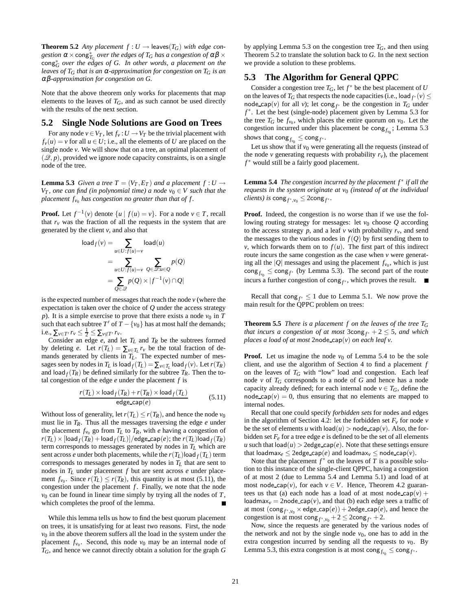**Theorem 5.2** *Any placement*  $f: U \rightarrow$  leaves( $T_G$ ) *with edge con* $g$ *estion*  $\alpha \times \text{cong}_{T_G}^*$  *over the edges of*  $T_G$  *has a congestion of*  $\alpha\beta \times$ cong∗ *G over the edges of G. In other words, a placement on the leaves of T<sup>G</sup> that is an* <sup>α</sup>*-approximation for congestion on T<sup>G</sup> is an* αβ*-approximation for congestion on G.*

Note that the above theorem only works for placements that map elements to the leaves of  $T_G$ , and as such cannot be used directly with the results of the next section.

#### **5.2 Single Node Solutions are Good on Trees**

For any node  $v \in V_T$ , let  $f_v : U \to V_T$  be the trivial placement with  $f_v(u) = v$  for all  $u \in U$ ; i.e., all the elements of *U* are placed on the single node *v*. We will show that on a tree, an optimal placement of  $(\mathcal{Q}, p)$ , provided we ignore node capacity constraints, is on a single node of the tree.

**Lemma 5.3** *Given a tree*  $T = (V_T, E_T)$  *and a placement*  $f: U \rightarrow$ *V*<sub>*T*</sub>, one can find (in polynomial time) a node  $v_0 \in V$  such that the *placement fv*<sup>0</sup> *has congestion no greater than that of f .*

**Proof.** Let  $f^{-1}(v)$  denote  $\{u \mid f(u) = v\}$ . For a node  $v \in T$ , recall that  $r_v$  was the fraction of all the requests in the system that are generated by the client *v*, and also that

$$
\begin{aligned}\n\text{load}_{f}(v) &= \sum_{u \in U : f(u) = v} \text{load}(u) \\
&= \sum_{u \in U : f(u) = v} \sum_{Q \in \mathcal{Q} : u \in Q} p(Q) \\
&= \sum_{Q \in \mathcal{Q}} p(Q) \times |f^{-1}(v) \cap Q|\n\end{aligned}
$$

is the expected number of messages that reach the node *v* (where the expectation is taken over the choice of *Q* under the access strategy *p*). It is a simple exercise to prove that there exists a node  $v_0$  in  $T$ such that each subtree  $T'$  of  $T - \{v_0\}$  has at most half the demands; i.e.,  $\sum_{v \in T'} r_v \leq \frac{1}{2} \leq \sum_{v \notin T'} r_v$ .

Consider an edge *e*, and let *T<sup>L</sup>* and *T<sup>R</sup>* be the subtrees formed by deleting *e*. Let  $r(T_L) = \sum_{v \in T_L} r_v$  be the total fraction of demands generated by clients in *TL*. The expected number of messages seen by nodes in  $T_L$  is load  $f(T_L) = \sum_{v \in T_L} \text{load}_f(v)$ . Let  $r(T_R)$ and load  $f(T_R)$  be defined similarly for the subtree  $T_R$ . Then the total congestion of the edge  $e$  under the placement  $f$  is

$$
\frac{r(T_L) \times \text{load}_f(T_R) + r(T_R) \times \text{load}_f(T_L)}{\text{edge\_cap}(e)} \tag{5.11}
$$

Without loss of generality, let  $r(T_L) \le r(T_R)$ , and hence the node  $v_0$ must lie in  $T_R$ . Thus all the messages traversing the edge  $e$  under the placement  $f_{v_0}$  go from  $T_L$  to  $T_R$ , with *e* having a congestion of  $r(T_L) \times [\text{load}_f(T_R) + \text{load}_f(T_L)]/$ edge\_cap $(e)$ ; the  $r(T_L)$ load  $_f(T_R)$ term corresponds to messages generated by nodes in *T<sup>L</sup>* which are sent across *e* under both placements, while the  $r(T_L)$ load  $f(T_L)$  term corresponds to messages generated by nodes in *T<sup>L</sup>* that are sent to nodes in *T<sup>L</sup>* under placement *f* but are sent across *e* under placement  $f_{v_0}$ . Since  $r(T_L) \le r(T_R)$ , this quantity is at most (5.11), the congestion under the placement  $f$ . Finally, we note that the node  $v_0$  can be found in linear time simply by trying all the nodes of  $T$ , which completes the proof of the lemma. Н

While this lemma tells us how to find the best quorum placement on trees, it is unsatisfying for at least two reasons. First, the node  $v<sub>0</sub>$  in the above theorem suffers all the load in the system under the placement  $f_{v_0}$ . Second, this node  $v_0$  may be an internal node of *TG*, and hence we cannot directly obtain a solution for the graph *G* by applying Lemma 5.3 on the congestion tree  $T_G$ , and then using Theorem 5.2 to translate the solution back to *G*. In the next section we provide a solution to these problems.

# **5.3 The Algorithm for General QPPC**

Consider a congestion tree  $T_G$ , let  $f^*$  be the best placement of *U* on the leaves of *T<sub>G</sub>* that respects the node capacities (i.e., load  $f^*(v) \le$ node cap(*v*) for all *v*); let cong  $f^*$  be the congestion in  $T_G$  under *f* ∗ . Let the best (single-node) placement given by Lemma 5.3 for the tree  $T_G$  be  $f_{v_0}$ , which places the entire quorum on  $v_0$ . Let the congestion incurred under this placement be cong<sub>f*v*<sup>0</sup></sub>; Lemma 5.3 shows that  $\text{cong}_{f_{v_0}} \leq \text{cong}_{f^*}.$ 

Let us show that if  $v_0$  were generating all the requests (instead of the node *v* generating requests with probability  $r_v$ ), the placement *f* ∗ would still be a fairly good placement.

**Lemma 5.4** *The congestion incurred by the placement f<sup>\*</sup> if all the requests in the system originate at v*<sub>0</sub> (*instead of at the individual*  $\textit{clients)}$  is  $\textsf{cong}_{f^*,v_0} \leq 2\textsf{cong}_{f^*}.$ 

**Proof.** Indeed, the congestion is no worse than if we use the following routing strategy for messages: let  $v_0$  choose  $Q$  according to the access strategy  $p$ , and a leaf  $\nu$  with probability  $r_{\nu}$ , and send the messages to the various nodes in  $f(Q)$  by first sending them to *v*, which forwards them on to  $f(u)$ . The first part of this indirect route incurs the same congestion as the case when *v* were generating all the  $|Q|$  messages and using the placement  $f_{v_0}$ , which is just  $\cos g_{f_{\nu_0}} \leq \cos g_{f^*}$  (by Lemma 5.3). The second part of the route incurs a further congestion of cong*<sup>f</sup>* <sup>∗</sup> , which proves the result.

Recall that cong  $f^* \leq 1$  due to Lemma 5.1. We now prove the main result for the QPPC problem on trees:

**Theorem 5.5** *There is a placement f on the leaves of the tree*  $T_G$ *that incurs a congestion of at most*  $3\text{cong}_{f^*} + 2 \leq 5$ *, and which places a load of at most* 2node cap(*v*) *on each leaf v.*

**Proof.** Let us imagine the node  $v_0$  of Lemma 5.4 to be the sole client, and use the algorithm of Section 4 to find a placement *f* on the leaves of *T<sup>G</sup>* with "low" load and congestion. Each leaf node  $\nu$  of  $T_G$  corresponds to a node of  $G$  and hence has a node capacity already defined; for each internal node  $v \in T_G$ , define the node cap( $v$ ) = 0, thus ensuring that no elements are mapped to internal nodes.

Recall that one could specify *forbidden sets* for nodes and edges in the algorithm of Section 4.2: let the forbidden set  $F_v$  for node  $v$ be the set of elements *u* with  $\text{load}(u) > \text{node\_cap}(v)$ . Also, the forbidden set  $F_e$  for a tree edge  $e$  is defined to be the set of all elements *u* such that  $\text{load}(u) > 2$ edge\_cap(*e*). Note that these settings ensure that loadmax<sub>e</sub>  $\leq$  2edge\_cap(*e*) and loadmax<sub>*v*</sub>  $\leq$  node\_cap(*v*).

Note that the placement  $f^*$  on the leaves of  $T$  is a possible solution to this instance of the single-client QPPC, having a congestion of at most 2 (due to Lemma 5.4 and Lemma 5.1) and load of at most node\_cap( $v$ ), for each  $v \in V$ . Hence, Theorem 4.2 guarantees us that (a) each node has a load of at most node\_cap( $v$ ) + loadmax<sub>*v*</sub> = 2node cap(*v*), and that (b) each edge sees a traffic of at most  $(\text{cong}_{f^*,v_0} \times \text{edge\_cap}(e)) + 2\text{edge\_cap}(e)$ , and hence the congestion is at most  $\text{cong}_{f^*,v_0} + 2 \leq 2\text{cong}_{f^*} + 2$ .

Now, since the requests are generated by the various nodes of the network and not by the single node  $v_0$ , one has to add in the extra congestion incurred by sending all the requests to  $v_0$ . By Lemma 5.3, this extra congestion is at most  $\text{cong}_{f_{v_0}} \leq \text{cong}_{f^*}.$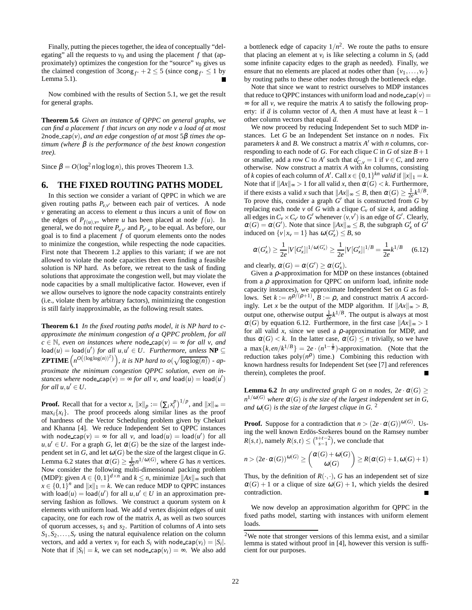Finally, putting the pieces together, the idea of conceptually "delegating" all the requests to  $v_0$  and using the placement  $f$  that (approximately) optimizes the congestion for the "source"  $v_0$  gives us the claimed congestion of  $3\text{cong}_{f^*} + 2 \le 5$  (since  $\text{cong}_{f^*} \le 1$  by Lemma 5.1).

Now combined with the results of Section 5.1, we get the result for general graphs.

**Theorem 5.6** *Given an instance of QPPC on general graphs, we can find a placement f that incurs on any node v a load of at most* 2node cap(*v*)*, and an edge congestion of at most* 5β *times the optimum (where* β *is the performance of the best known congestion tree).*

Since  $\beta = O(\log^2 n \log \log n)$ , this proves Theorem 1.3.

#### **6. THE FIXED ROUTING PATHS MODEL**

In this section we consider a variant of QPPC in which we are given routing paths  $P_{v,v'}$  between each pair of vertices. A node *v* generating an access to element *u* thus incurs a unit of flow on the edges of  $P_{f(u),v}$ , where *u* has been placed at node  $f(u)$ . In general, we do not require  $P_{v,v'}$  and  $P_{v',v}$  to be equal. As before, our goal is to find a placement *f* of quorum elements onto the nodes to minimize the congestion, while respecting the node capacities. First note that Theorem 1.2 applies to this variant; if we are not allowed to violate the node capacities then even finding a feasible solution is NP hard. As before, we retreat to the task of finding solutions that approximate the congestion well, but may violate the node capacities by a small multiplicative factor. However, even if we allow ourselves to ignore the node capacity constraints entirely (i.e., violate them by arbitrary factors), minimizing the congestion is still fairly inapproximable, as the following result states.

**Theorem 6.1** *In the fixed routing paths model, it is NP hard to capproximate the minimum congestion of a QPPC problem, for all c* ∈  $\mathbb N$ *, even on instances where* node\_cap(*v*) =  $\infty$  *for all v, and*  $\textsf{load}(u) = \textsf{load}(u') \text{ for all } u, u' \in U.$  Furthermore, unless  $\textsf{NP} \subseteq$ **ZPTIME**  $\left(n^{O((\log \log(n))^2)}\right)$ , it is NP hard to  $o(\sqrt{\log \log(n)})$  - ap*proximate the minimum congestion QPPC solution, even on instances where*  $\text{node\_cap}(v) = \infty$  *for all v, and*  $\text{load}(u) = \text{load}(u')$ *for all*  $u, u' \in U$ .

**Proof.** Recall that for a vector *x*,  $||x||_p := (\sum_i x_i^p)^{1/p}$ , and  $||x||_{\infty} =$  $\max_i \{x_i\}$ . The proof proceeds along similar lines as the proof of hardness of the Vector Scheduling problem given by Chekuri and Khanna [4]. We reduce Independent Set to QPPC instances with node\_cap $(v) = \infty$  for all *v*, and  $\text{load}(u) = \text{load}(u')$  for all  $u, u' \in U$ . For a graph *G*, let  $\alpha(G)$  be the size of the largest independent set in *G*, and let  $\omega(G)$  be the size of the largest clique in *G*. Lemma 6.2 states that  $\alpha(G) \geq \frac{1}{2e} n^{1/\omega(G)}$ , where *G* has *n* vertices. Now consider the following multi-dimensional packing problem (MDP): given  $A \in \{0,1\}^{d \times n}$  and  $k \le n$ , minimize  $||Ax||_{\infty}$  such that  $x \in \{0,1\}^n$  and  $||x||_1 = k$ . We can reduce MDP to QPPC instances with  $\text{load}(u) = \text{load}(u')$  for all  $u, u' \in U$  in an approximation preserving fashion as follows. We construct a quorum system on *k* elements with uniform load. We add *d* vertex disjoint edges of unit capacity, one for each row of the matrix *A*, as well as two sources of quorum accesses, *s*<sup>1</sup> and *s*2. Partition of columns of *A* into sets  $S_1, S_2, \ldots, S_r$  using the natural equivalence relation on the column vectors, and add a vertex  $v_i$  for each  $S_i$  with node cap( $v_i$ ) =  $|S_i|$ . Note that if  $|S_i| = k$ , we can set node\_cap( $v_i$ ) =  $\infty$ . We also add

a bottleneck edge of capacity  $1/n^2$ . We route the paths to ensure that placing an element at  $v_i$  is like selecting a column in  $S_i$  (add some infinite capacity edges to the graph as needed). Finally, we ensure that no elements are placed at nodes other than  $\{v_1, \ldots, v_r\}$ by routing paths to these other nodes through the bottleneck edge.

Note that since we want to restrict ourselves to MDP instances that reduce to QPPC instances with uniform load and node cap( $v$ ) = ∞ for all *v*, we require the matrix *A* to satisfy the following property: if  $\vec{a}$  is column vector of *A*, then *A* must have at least  $k - 1$ other column vectors that equal  $\vec{a}$ .

We now proceed by reducing Independent Set to such MDP instances. Let *G* be an Independent Set instance on *n* nodes. Fix parameters  $k$  and  $B$ . We construct a matrix  $A'$  with  $n$  columns, corresponding to each node of *G*. For each clique *C* in *G* of size  $B + 1$ or smaller, add a row *C* to *A'* such that  $a'_{C,\nu} = 1$  if  $\nu \in C$ , and zero otherwise. Now construct a matrix *A* with *kn* columns, consisting of *k* copies of each column of *A'*. Call  $x \in \{0,1\}^{kn}$  *valid* if  $||x||_1 = k$ . Note that if  $||Ax||_{\infty} > 1$  for all valid *x*, then  $\alpha(G) < k$ . Furthermore, if there exists a valid *x* such that  $||Ax||_{\infty} \leq B$ , then  $\alpha(G) \geq \frac{1}{2e}k^{1/B}$ . To prove this, consider a graph  $G'$  that is constructed from  $G$  by replacing each node *v* of *G* with a clique  $C_v$  of size *k*, and adding all edges in  $C_v \times C_{v'}$  to *G*<sup> $\prime$ </sup> whenever  $(v, v')$  is an edge of *G*<sup> $\prime$ </sup>. Clearly,  $\alpha(G) = \alpha(G')$ . Note that since  $||Ax||_{\infty} \leq B$ , the subgraph  $G'_x$  of  $G'$ induced on  $\{v \mid x_v = 1\}$  has  $\omega(G'_x) \leq B$ , so

$$
\alpha(G'_x) \ge \frac{1}{2e}|V[G'_x]|^{1/\omega(G'_x)} \ge \frac{1}{2e}|V[G'_x]|^{1/B} = \frac{1}{2e}k^{1/B} \qquad (6.12)
$$

and clearly,  $\alpha(G) = \alpha(G') \geq \alpha(G'_x)$ .

Given a  $\rho$ -approximation for MDP on these instances (obtained from a  $\rho$  approximation for QPPC on uniform load, infinite node capacity instances), we approximate Independent Set on *G* as follows. Set  $k := n^{\rho/(\rho+1)}$ ,  $B := \rho$ , and construct matrix *A* accordingly. Let *x* be the output of the MDP algorithm. If  $||Ax||_{\infty} > B$ , output one, otherwise output  $\frac{1}{2e}k^{1/B}$ . The output is always at most  $\alpha(G)$  by equation 6.12. Furthermore, in the first case  $||Ax||_{\infty} > 1$ for all valid  $x$ , since we used a  $\rho$ -approximation for MDP, and thus  $\alpha(G) < k$ . In the latter case,  $\alpha(G) \leq n$  trivially, so we have a max{ $k$ ,*en*/ $k^{1/B}$ } = 2*e* · ( $n^{1-\frac{1}{B}}$ )-approximation. (Note that the reduction takes  $poly(n^{\rho})$  time.) Combining this reduction with known hardness results for Independent Set (see [7] and references therein), completes the proof.

**Lemma 6.2** *In any undirected graph G on n nodes,*  $2e \cdot \alpha(G) \ge$  $n^{1/\omega(G)}$  where  $\alpha(G)$  is the size of the largest independent set in G, *and*  $\omega(G)$  *is the size of the largest clique in G.* <sup>2</sup>

**Proof.** Suppose for a contradiction that  $n > (2e \cdot \alpha(G))^{\omega(G)}$ . Using the well known Erdös-Szekeres bound on the Ramsey number  $R(s,t)$ , namely  $R(s,t) \leq {s+t-2 \choose s-1}$ , we conclude that

$$
n > (2e \cdot \alpha(G))^{ \omega(G)} \ge \binom{\alpha(G) + \omega(G)}{\omega(G)} \ge R(\alpha(G) + 1, \omega(G) + 1)
$$

Thus, by the definition of  $R(\cdot, \cdot)$ , *G* has an independent set of size  $\alpha(G) + 1$  or a clique of size  $\omega(G) + 1$ , which yields the desired contradiction.

We now develop an approximation algorithm for QPPC in the fixed paths model, starting with instances with uniform element loads.

<sup>2</sup>We note that stronger versions of this lemma exist, and a similar lemma is stated without proof in [4], however this version is sufficient for our purposes.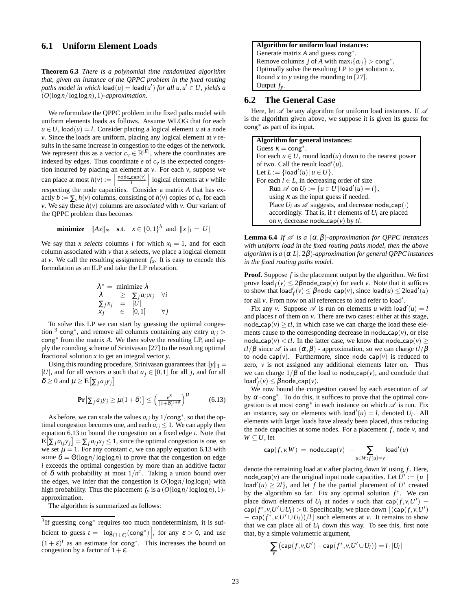# **6.1 Uniform Element Loads**

**Theorem 6.3** *There is a polynomial time randomized algorithm that, given an instance of the QPPC problem in the fixed routing*  $p$ aths model in which  $\textsf{load}(u) = \textsf{load}(u')$  for all  $u, u' \in U$ , yields a (*O*(log*n*/log log*n*),1)*-approximation.*

We reformulate the QPPC problem in the fixed paths model with uniform elements loads as follows. Assume WLOG that for each  $u \in U$ , load $(u) = l$ . Consider placing a logical element *u* at a node *v*. Since the loads are uniform, placing any logical element at *v* results in the same increase in congestion to the edges of the network. We represent this as a vector  $c_v \in \mathbb{R}^{|E|}$ , where the coordinates are indexed by edges. Thus coordinate  $e$  of  $c<sub>v</sub>$  is the expected congestion incurred by placing an element at  $v$ . For each  $v$ , suppose we can place at most  $h(v) := \left| \frac{\text{node\_cap}(v)}{l} \right|$  logical elements at *v* while respecting the node capacities. Consider a matrix *A* that has exactly  $b := \sum_{v} h(v)$  columns, consisting of  $h(v)$  copies of  $c_v$  for each *v*. We say these  $h(v)$  columns are *associated* with *v*. Our variant of the QPPC problem thus becomes

**minimize** 
$$
||Ax||_{\infty}
$$
 **s.t.**  $x \in \{0,1\}^b$  and  $||x||_1 = |U|$ 

We say that *x selects* columns *i* for which  $x_i = 1$ , and for each column associated with  $\nu$  that  $x$  selects, we place a logical element at *v*. We call the resulting assignment  $f<sub>x</sub>$ . It is easy to encode this formulation as an ILP and take the LP relaxation.

$$
\lambda^* = \text{minimize } \lambda \n\lambda \geq \sum_j a_{ij} x_j \quad \forall i \n\sum_j x_j = |U| \n x_j \in [0,1] \quad \forall j
$$

To solve this LP we can start by guessing the optimal congestion <sup>3</sup> cong<sup>\*</sup>, and remove all columns containing any entry  $a_{ij}$  > cong∗ from the matrix *A*. We then solve the resulting LP, and apply the rounding scheme of Srinivasan [27] to the resulting optimal fractional solution *x* to get an integral vector *y*.

Using this rounding procedure, Srinivasan guarantees that  $||y||_1 =$ |*U*|, and for all vectors *a* such that  $a_j \in [0,1]$  for all *j*, and for all  $\delta \geq 0$  and  $\mu \geq \mathbf{E} \big[ \sum_j a_j y_j \big]$ 

$$
\mathbf{Pr}\big[\sum_{j} a_j y_j \ge \mu(1+\delta)\big] \le \left(\frac{e^{\delta}}{(1+\delta)^{1+\delta}}\right)^{\mu} \tag{6.13}
$$

As before, we can scale the values  $a_{ij}$  by  $1/\text{cong}^*$ , so that the optimal congestion becomes one, and each  $a_{ij} \leq 1$ . We can apply then equation 6.13 to bound the congestion on a fixed edge *i*. Note that  $\mathbf{E}[\sum_j a_{ij}y_j] = \sum_j a_{ij}x_j \leq 1$ , since the optimal congestion is one, so we set  $\mu = 1$ . For any constant *c*, we can apply equation 6.13 with some  $\delta = \Theta(\log n / \log \log n)$  to prove that the congestion on edge *i* exceeds the optimal congestion by more than an additive factor of  $\delta$  with probability at most  $1/n^c$ . Taking a union bound over the edges, we infer that the congestion is  $O(\log n / \log \log n)$  with high probability. Thus the placement  $f_y$  is a  $(O(\log n / \log \log n), 1)$ approximation.

The algorithm is summarized as follows:

#### **Algorithm for uniform load instances:**

Generate matrix *A* and guess cong∗ . Remove columns *j* of *A* with  $\max_i \{a_{ij}\} > \text{cong}^*$ . Optimally solve the resulting LP to get solution *x*. Round *x* to *y* using the rounding in [27]. Output *fy*.

#### **6.2 The General Case**

Here, let  $\mathscr A$  be any algorithm for uniform load instances. If  $\mathscr A$ is the algorithm given above, we suppose it is given its guess for cong∗ as part of its input.

**Algorithm for general instances:** Guess  $\kappa = \text{cong}^*$ . For each  $u \in U$ , round load(*u*) down to the nearest power of two. Call the result  $\text{load}'(u)$ . Let  $L := \{\textsf{load}'(u) \, | \, u \in U\}.$ For each  $l \in L$ , in decreasing order of size  $\mathsf{Run} \mathscr{A}$  on  $U_l := \{u \in U \mid \mathsf{load}'(u) = l\},\$ using  $\kappa$  as the input guess if needed. Place  $U_l$  as  $\mathscr A$  suggests, and decrease node\_cap( $\cdot$ ) accordingly. That is, if  $t$  elements of  $U_l$  are placed on *v*, decrease node\_cap $(v)$  by  $tl$ .

**Lemma 6.4** *If*  $\mathscr A$  *is a*  $(\alpha, \beta)$ *-approximation for QPPC instances with uniform load in the fixed routing paths model, then the above algorithm is a* (<sup>α</sup>|*L*|, 2β)*-approximation for general QPPC instances in the fixed routing paths model.*

**Proof.** Suppose *f* is the placement output by the algorithm. We first prove  $\text{load}_f(v) \leq 2\beta \text{node\_cap}(v)$  for each *v*. Note that it suffices to show that  $\mathsf{load}'_f(v) \leq \beta \mathsf{node\_cap}(v)$ , since  $\mathsf{load}(u) \leq 2\mathsf{load}'(u)$ for all *v*. From now on all references to load refer to load'.

Fix any *v*. Suppose  $\mathscr A$  is run on elements *u* with load'(*u*) = *l* and places *t* of them on *v*. There are two cases: either at this stage, node\_cap( $v$ )  $\geq t$ *l*, in which case we can charge the load these elements cause to the corresponding decrease in node<sub>cap</sub> $(v)$ , or else node cap( $v$ ) < *tl*. In the latter case, we know that node cap( $v$ )  $\ge$ *tl*/ $\beta$  since  $\mathscr A$  is an  $(\alpha, \beta)$  - approximation, so we can charge  $t$ *l*/ $\beta$ to node cap( $v$ ). Furthermore, since node cap( $v$ ) is reduced to zero, *v* is not assigned any additional elements later on. Thus we can charge  $1/\beta$  of the load to node\_cap(*v*), and conclude that  $\textsf{load}'_f(v) \leq \beta \textsf{node\_cap}(v).$ 

We now bound the congestion caused by each execution of  $\mathscr A$ by  $\alpha \cdot \text{cong}^*$ . To do this, it suffices to prove that the optimal congestion is at most cong<sup>\*</sup> in each instance on which  $\mathscr A$  is run. Fix an instance, say on elements with  $\text{load}'(u) = l$ , denoted  $U_l$ . All elements with larger loads have already been placed, thus reducing the node capacities at some nodes. For a placement  $f$ , node  $v$ , and *W* ⊂ *U*, let

$$
\mathsf{cap}(f, v, W) \ = \ \mathsf{node\_cap}(v) \ - \sum_{u \in W: f(u) = v} \mathsf{load}'(u)
$$

denote the remaining load at *v* after placing down *W* using *f* . Here, node\_cap(*v*) are the original input node capacities. Let  $U' := \{u \mid$  $\log d'(u) \ge 2l$ , and let *f* be the partial placement of *U'* created by the algorithm so far. Fix any optimal solution  $f^*$ . We can place down elements of  $U_l$  at nodes *v* such that cap( $f, v, U'$ ) – cap( $f^*$ ,*v*, $U' \cup U_l$ ) > 0. Specifically, we place down  $\lfloor (cap(f, v, U')) \rfloor$  $-$  cap( $f^*$ , *v*,  $U' \cup U_l$ ))/*l* such elements at *v*. It remains to show that we can place all of  $U_l$  down this way. To see this, first note that, by a simple volumetric argument,

$$
\sum_{v} \big(\textsf{cap}(f,v,U') - \textsf{cap}(f^*,v,U' \cup U_l)\big) = l \cdot |U_l|
$$

<sup>&</sup>lt;sup>3</sup>If guessing cong<sup>\*</sup> requires too much nondeterminism, it is sufficient to guess  $t = \left\lceil \log_{(1+\varepsilon)}(\text{cong}^*) \right\rceil$ , for any  $\varepsilon > 0$ , and use  $(1 + \varepsilon)^t$  as an estimate for cong<sup>\*</sup>. This increases the bound on congestion by a factor of  $1+\varepsilon$ .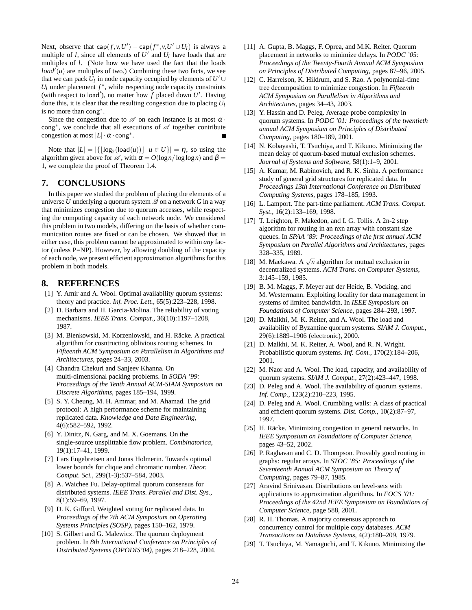Next, observe that  $cap(f, v, U') - cap(f^*, v, U' \cup U_l)$  is always a multiple of *l*, since all elements of  $U'$  and  $U_l$  have loads that are multiples of *l*. (Note how we have used the fact that the loads  $load'(u)$  are multiples of two.) Combining these two facts, we see that we can pack  $U_l$  in node capacity occupied by elements of  $U' \cup$  $U_l$  under placement  $f^*$ , while respecting node capacity constraints (with respect to load<sup>'</sup>), no matter how  $f$  placed down  $U'$ . Having done this, it is clear that the resulting congestion due to placing *U<sup>l</sup>* is no more than cong∗ .

Since the congestion due to  $\mathscr A$  on each instance is at most  $\alpha$ . cong<sup>\*</sup>, we conclude that all executions of Ø together contribute congestion at most  $|L| \cdot \alpha \cdot \text{cong}^*$ .

Note that  $|L| = |\{\lfloor \log_2(\text{load}(u)) \rfloor | u \in U\}| = \eta$ , so using the algorithm given above for  $\mathscr A$ , with  $\alpha = O(\log n / \log \log n)$  and  $\beta =$ 1, we complete the proof of Theorem 1.4.

# **7. CONCLUSIONS**

In this paper we studied the problem of placing the elements of a universe *U* underlying a quorum system  $\mathscr Q$  on a network *G* in a way that minimizes congestion due to quorum accesses, while respecting the computing capacity of each network node. We considered this problem in two models, differing on the basis of whether communication routes are fixed or can be chosen. We showed that in either case, this problem cannot be approximated to within *any* factor (unless P=NP). However, by allowing doubling of the capacity of each node, we present efficient approximation algorithms for this problem in both models.

# **8. REFERENCES**

- [1] Y. Amir and A. Wool. Optimal availability quorum systems: theory and practice. *Inf. Proc. Lett.*, 65(5):223–228, 1998.
- [2] D. Barbara and H. Garcia-Molina. The reliability of voting mechanisms. *IEEE Trans. Comput.*, 36(10):1197–1208, 1987.
- [3] M. Bienkowski, M. Korzeniowski, and H. Räcke. A practical algorithm for cosntructing oblivious routing schemes. In *Fifteenth ACM Symposium on Parallelism in Algorithms and Architectures*, pages 24–33, 2003.
- [4] Chandra Chekuri and Sanjeev Khanna. On multi-dimensional packing problems. In *SODA '99: Proceedings of the Tenth Annual ACM-SIAM Symposium on Discrete Algorithms*, pages 185–194, 1999.
- [5] S. Y. Cheung, M. H. Ammar, and M. Ahamad. The grid protocol: A high performance scheme for maintaining replicated data. *Knowledge and Data Engineering*, 4(6):582–592, 1992.
- [6] Y. Dinitz, N. Garg, and M. X. Goemans. On the single-source unsplittable flow problem. *Combinatorica*, 19(1):17–41, 1999.
- [7] Lars Engebretsen and Jonas Holmerin. Towards optimal lower bounds for clique and chromatic number. *Theor. Comput. Sci.*, 299(1-3):537–584, 2003.
- [8] A. Waichee Fu. Delay-optimal quorum consensus for distributed systems. *IEEE Trans. Parallel and Dist. Sys.*, 8(1):59–69, 1997.
- [9] D. K. Gifford. Weighted voting for replicated data. In *Proceedings of the 7th ACM Symposium on Operating Systems Principles (SOSP)*, pages 150–162, 1979.
- [10] S. Gilbert and G. Malewicz. The quorum deployment problem. In *8th International Conference on Principles of Distributed Systems (OPODIS'04)*, pages 218–228, 2004.
- [11] A. Gupta, B. Maggs, F. Oprea, and M.K. Reiter. Quorum placement in networks to minimize delays. In *PODC '05: Proceedings of the Twenty-Fourth Annual ACM Symposium on Principles of Distributed Computing*, pages 87–96, 2005.
- [12] C. Harrelson, K. Hildrum, and S. Rao. A polynomial-time tree decomposition to minimize congestion. In *Fifteenth ACM Symposium on Parallelism in Algorithms and Architectures*, pages 34–43, 2003.
- [13] Y. Hassin and D. Peleg. Average probe complexity in quorum systems. In *PODC '01: Proceedings of the twentieth annual ACM Symposium on Principles of Distributed Computing*, pages 180–189, 2001.
- [14] N. Kobayashi, T. Tsuchiya, and T. Kikuno. Minimizing the mean delay of quorum-based mutual exclusion schemes. *Journal of Systems and Software*, 58(1):1–9, 2001.
- [15] A. Kumar, M. Rabinovich, and R. K. Sinha. A performance study of general grid structures for replicated data. In *Proceedings 13th International Conference on Distributed Computing Systems*, pages 178–185, 1993.
- [16] L. Lamport. The part-time parliament. *ACM Trans. Comput. Syst.*, 16(2):133–169, 1998.
- [17] T. Leighton, F. Makedon, and I. G. Tollis. A 2n-2 step algorithm for routing in an nxn array with constant size queues. In *SPAA '89: Proceedings of the first annual ACM Symposium on Parallel Algorithms and Architectures*, pages 328–335, 1989.
- [18] M. Maekawa. A  $\sqrt{n}$  algorithm for mutual exclusion in decentralized systems. *ACM Trans. on Computer Systems*, 3:145–159, 1985.
- [19] B. M. Maggs, F. Meyer auf der Heide, B. Vocking, and M. Westermann. Exploiting locality for data management in systems of limited bandwidth. In *IEEE Symposium on Foundations of Computer Science*, pages 284–293, 1997.
- [20] D. Malkhi, M. K. Reiter, and A. Wool. The load and availability of Byzantine quorum systems. *SIAM J. Comput.*, 29(6):1889–1906 (electronic), 2000.
- [21] D. Malkhi, M. K. Reiter, A. Wool, and R. N. Wright. Probabilistic quorum systems. *Inf. Com.*, 170(2):184–206, 2001.
- [22] M. Naor and A. Wool. The load, capacity, and availability of quorum systems. *SIAM J. Comput.*, 27(2):423–447, 1998.
- [23] D. Peleg and A. Wool. The availability of quorum systems. *Inf. Comp.*, 123(2):210–223, 1995.
- [24] D. Peleg and A. Wool. Crumbling walls: A class of practical and efficient quorum systems. *Dist. Comp.*, 10(2):87–97, 1997.
- [25] H. Räcke. Minimizing congestion in general networks. In *IEEE Symposium on Foundations of Computer Science*, pages 43–52, 2002.
- [26] P. Raghavan and C. D. Thompson. Provably good routing in graphs: regular arrays. In *STOC '85: Proceedings of the Seventeenth Annual ACM Symposium on Theory of Computing*, pages 79–87, 1985.
- [27] Aravind Srinivasan. Distributions on level-sets with applications to approximation algorithms. In *FOCS '01: Proceedings of the 42nd IEEE Symposium on Foundations of Computer Science*, page 588, 2001.
- [28] R. H. Thomas. A majority consensus approach to concurrency control for multiple copy databases. *ACM Transactions on Database Systems*, 4(2):180–209, 1979.
- [29] T. Tsuchiya, M. Yamaguchi, and T. Kikuno. Minimizing the